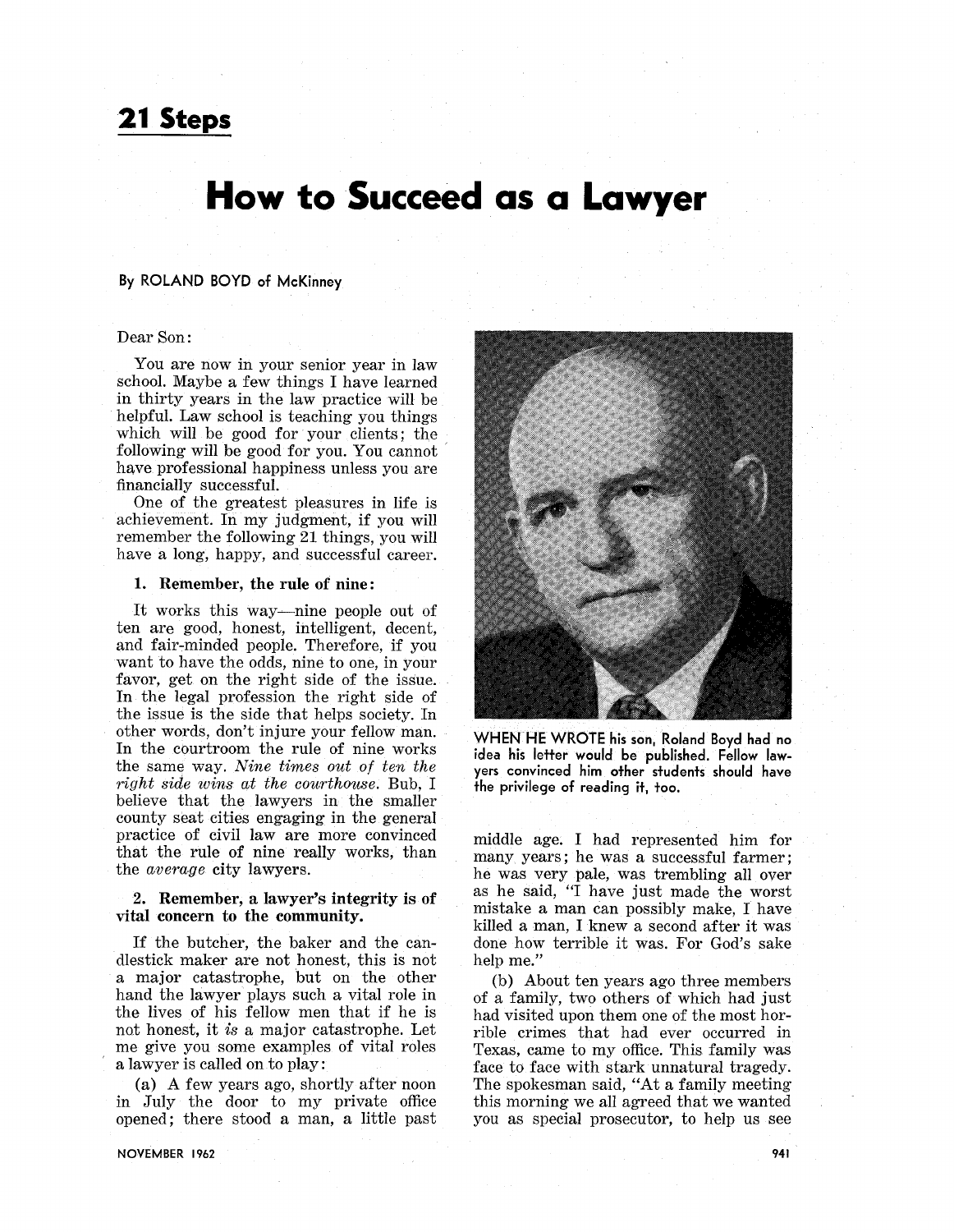## **21 Steps**

# **How to Succeed as a Lawyer**

#### **By ROLAND BOYD of McKinney**

#### Dear Son:

You are now in your senior year in law school. Maybe a few things I have learned in thirty years in the law practice will be helpful. Law school is teaching you things which will be good for your clients; the following will be good for you. You cannot have professional happiness unless you are financially successful.

One of the greatest pleasures in life is achievement. In my judgment, if you will remember the following 21 things, you will have a long, happy, and successful career.

#### **1. Remember, the rule of nine:**

It works this way-nine people out of ten are good, honest, intelligent, decent, and fair-minded people. Therefore, if you want to have the odds, nine to one, in your favor, get on the right side of the issue. In the legal profession the right side of the issue is the side that helps society. In other words, don't injure your fellow man. In the courtroom the rule of nine works the same way. *Nine times out of ten the right side wins at the courthouse.* Bub, I believe that the lawyers in the smaller county seat cities engaging in the general practice of civil law are more convinced that the rule of nine really works, than the *average* city lawyers.

#### 2. **Remember, a lawyer's integrity is of vital concern to the community.**

**If** the butcher, the baker and the candlestick maker are not honest, this is not a major catastrophe, but on the other hand the lawyer plays such a vital role in the lives of his fellow men that if he is not honest, it *is* a major catastrophe. Let me give you some examples of vital roles a lawyer is called on to play:

(a) A few years ago, shortly after noon in July the door to my private office opened; there stood a man, a little past





**WHEN HE WROTE his son, Roland Boyd had no idea his letter would be published. Fellow lawyers convinced him other students should have the privilege of reading it, too.**

middle age. I had represented him for many years; he was a successful farmer; he was very pale, was trembling all over as he said, "I have just made the worst mistake a man can possibly make, I have killed a man, I knew a second after it was done how terrible it was. For God's sake help me."

(b) About ten years ago three members of a family, two others of which had just had visited upon them one of the most horrible crimes that had ever occurred in Texas, came to my office. This family was face to face with stark unnatural tragedy. The spokesman said, "At a family meeting this morning we all agreed that we wanted you as special prosecutor, to help us see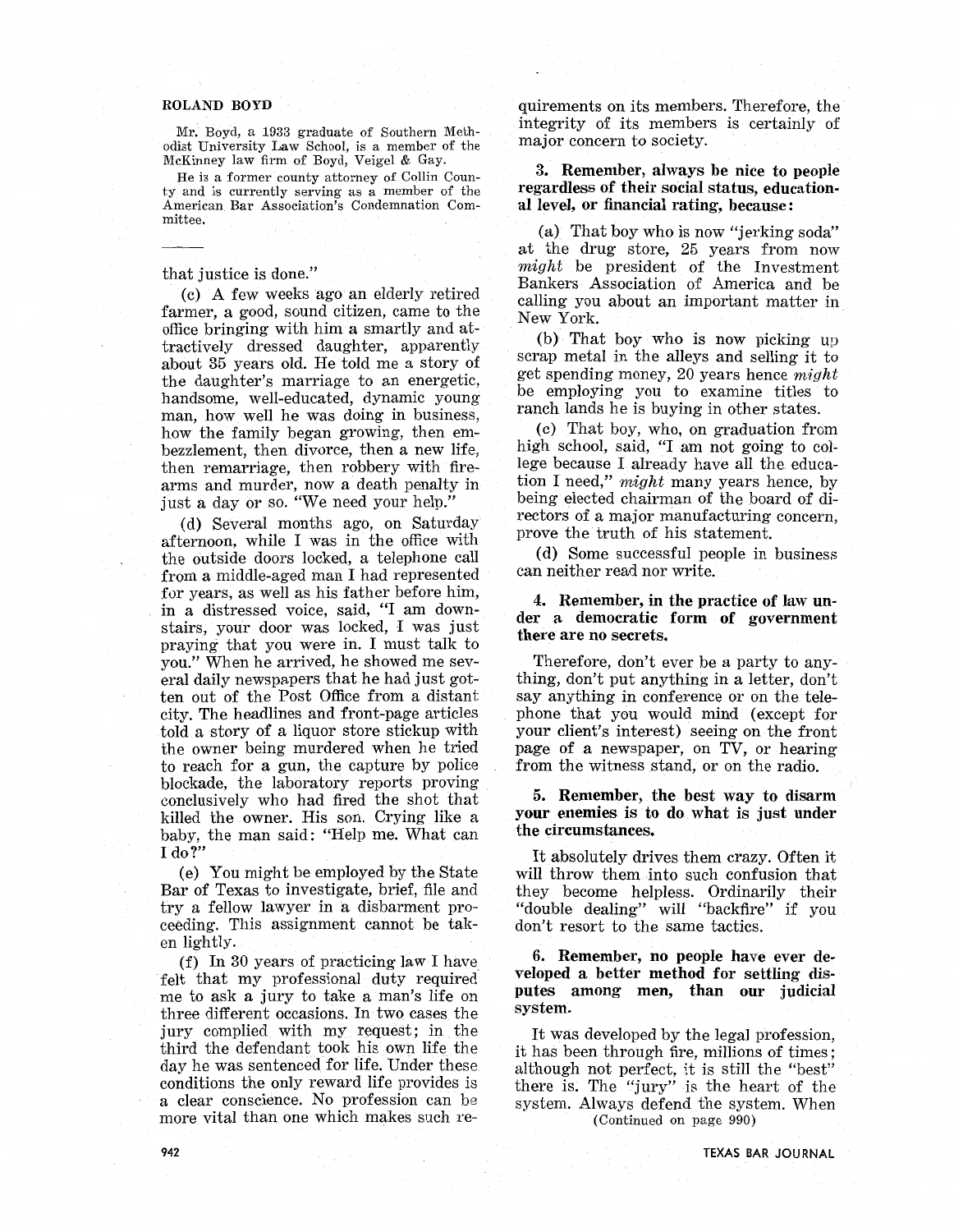#### **ROLAND BOYD**

**Mr.** Boyd, a 1933 graduate of Southern Methodist University Law School, is a member of the McKinney law firm of Boyd, Veigel & Gay.

He is a former county attorney of Collin County and is currently serving as a member of the American Bar Association's Condemnation Committee.

that justice is done."

(c) A few weeks ago an elderly retired farmer, a good, sound citizen, came to the office bringing with him a smartly and attractively dressed daughter, apparently about 35 years old. He told me a story of the daughter's marriage to an energetic, handsome, well-educated, dynamic young man, how well he was doing in business, how the family began growing, then embezzlement, then divorce, then a new life, then remarriage, then robbery with firearms and murder, now a death penalty in just a day or so. "We need your help."

(d) Several months ago, on Saturday afternoon, while I was in the office with the outside doors locked, a telephone call from a middle-aged man I had represented for years, as well as his father before him, in a distressed voice, said, "I am downstairs, your door was locked, I was just praying that you were in. I must talk to you." When he arrived, he showed me several daily newspapers that he had just gotten out of the Post Office from a distant city. The headlines and front-page articles told a story of a liquor store stickup with the owner being murdered when he tried to reach for a gun, the capture by police blockade, the laboratory reports proving conclusively who had fired the shot that killed the owner. His son. Crying like a baby, the man said: "Help me. What can **I** do?"

(e) You might be employed by the State Bar of Texas to investigate, brief, file and try a fellow lawyer in a disbarment proceeding. This assignment cannot be taken lightly.

**(f)** In 30 years of practicing law I have felt that my professional duty required me to ask a jury to take a man's life on three different occasions. In two cases the jury complied with my request; in the third the defendant took his own life the day he was sentenced for life. Under these conditions the only reward life provides is a clear conscience. No profession can be more vital than one which makes such requirements on its members. Therefore, the integrity of its members is certainly of major concern to society.

**3. Remember, always be nice to people regardless of their social status, educational level, or financial rating, because:**

(a) That boy who is now "jerking soda" at the drug store, **25** years from now *might* be president **of** the Investment Bankers Association of America and be calling you about an important matter in New York.

(b) That boy who is now picking up scrap metal in the alleys and selling it to get spending money, 20 years hence *might* be employing you to examine titles to ranch lands he is buying in other states.

(c) That boy, who, on graduation from high school, said, "I am not going to college because I already have all the education I need," *might* many years hence, by being elected chairman of the board of directors of a major manufacturing concern, prove the truth of his statement.

(d) Some successful people in business can neither read nor write.

#### **4. Remember, in the practice of law under a democratic form of government there are no secrets.**

Therefore, don't ever be a party to anything, don't put anything in a letter, don't say anything in conference or on the telephone that you would mind (except for your client's interest) seeing on the front page of a newspaper, on TV, or hearing from the witness stand, or on the radio.

#### **5. Remember, the best way to disarm your enemies is to do what is just under the circumstances.**

It absolutely drives them crazy. Often it will throw them into such confusion that they become helpless. Ordinarily their "double dealing" will "backfire" if you don't resort to the same tactics.

**6. Remember, no people have ever developed a better method for settling disputes among men, than our judicial system.**

It was developed by the legal profession, it has been through fire, millions of times; although not perfect, it is still the "best" there is. The "jury" is the heart of the system. Always defend the system. When (Continued on page 990)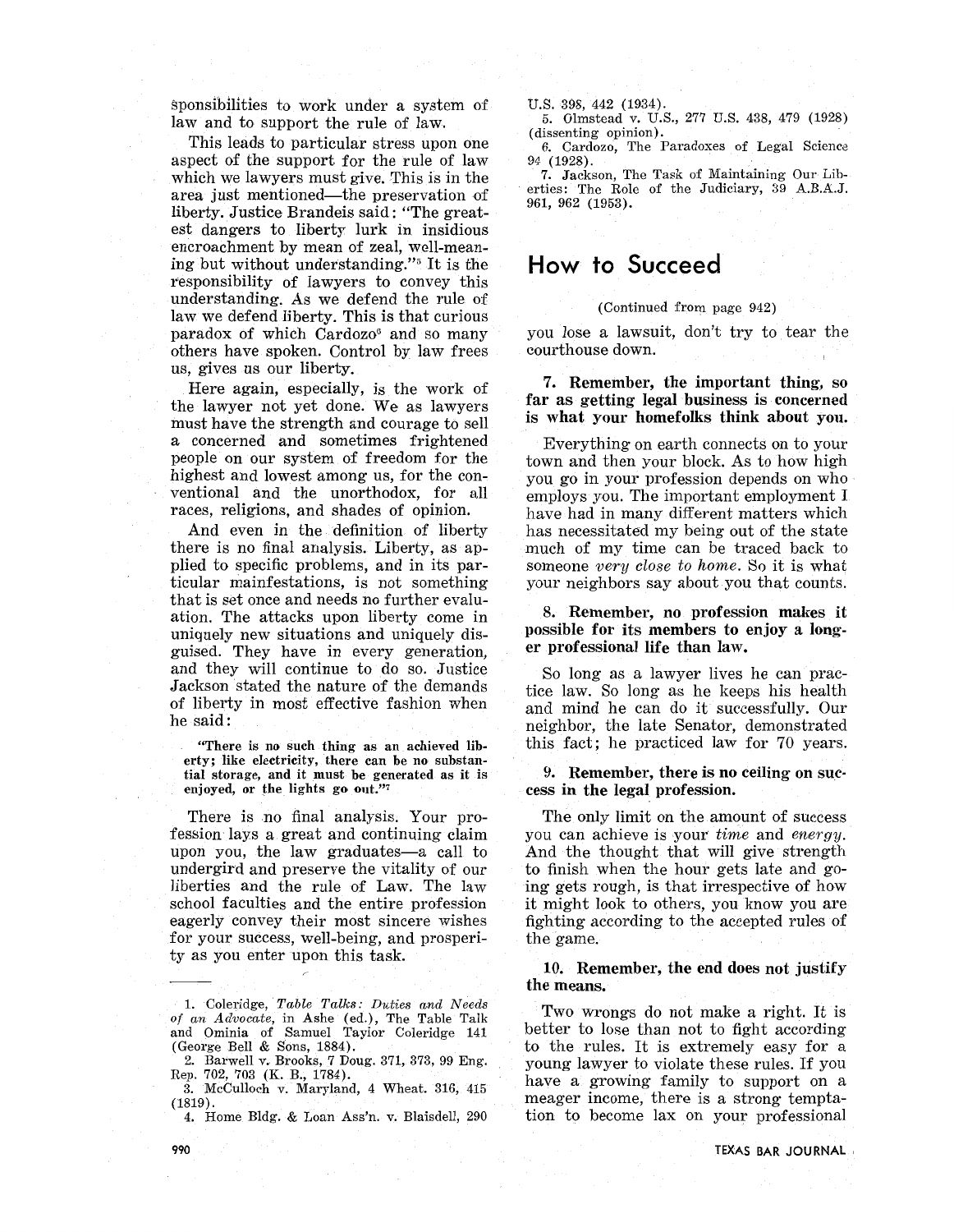sponsibilities to work under a system of law and to support the rule of law.

This leads to particular stress upon one aspect of the support for the rule of law which we lawyers must give. This is in the area just mentioned—the preservation of liberty. Justice Brandeis said: "The greatest dangers to liberty lurk in insidious encroachment by mean of zeal, well-meaning but without understanding."' It is the responsibility of lawyers to convey this understanding. As we defend the rule of law we defend liberty. This is that curious paradox of which Cardozo<sup>6</sup> and so many others have spoken. Control by law frees us, gives us our liberty.

Here again, especially, is the work of the lawyer not yet done. We as lawyers must have the strength and courage to sell a concerned and sometimes frightened people on our system of freedom for the highest and lowest among us, for the conventional and the unorthodox, for all races, religions, and shades of opinion.

And even in the definition of liberty there is no final analysis. Liberty, as applied to specific problems, and in its particular mainfestations, is not something that is set once and needs no further evaluation. The attacks upon liberty come in uniquely new situations and uniquely disguised. They have in every generation, and they will continue to do so. Justice Jackson stated the nature of the demands of liberty in most effective fashion when he said:

**"There is no such thing as an achieved liberty; like electricity, there can be no substantial storage, and it must be generated as it is enjoyed, or the lights go out."7'**

There is no final analysis. Your profession lays a great and continuing claim upon you, the law graduates-a call to undergird and preserve the vitality of our liberties and the rule of Law. The law school faculties and the entire profession eagerly convey their most sincere wishes for your success, well-being, and prosperity as you enter upon this task.

U.S. 398, 442 (1934).

5. Olmstead v. U.S., 277 U.S. 438, 479 (1928) (dissenting opinion).

6. Cardozo, The Paradoxes of Legal Science 94 (1928).

7. Jackson, The Task of Maintaining Our Liberties: The Role of the Judiciary, 39 A.B.A.J. 961, 962 (1953).

### **How to Succeed**

#### (Continued from page 942)

you lose a lawsuit, don't try to tear the courthouse down.

#### **7.** Remember, the important thing, so far as getting legal business is concerned is what your homefolks think about you.

Everything on earth connects on to your town and then your block. As to how high you go in your profession depends on who employs you. The important employment I have had in many different matters which has necessitated my being out of the state much of my time can be traced back to someone *very close to home.* So it is what your neighbors say about you that counts.

**8. Remember, no profession makes it** possible for its members to enjoy a longer professional life than law.

So long as a lawyer lives he can practice law. So long as he keeps his health and mind he can do it successfully. Our neighbor, the late Senator, demonstrated this fact; he practiced law for 70 years.

**9.** Remember, there is no ceiling on success in the legal profession.

The only limit on the amount of success you can achieve is your *time* and *energy.* And the thought that will give strength to finish when the hour gets late and going gets rough, is that irrespective of how it might look to others, you know you are fighting according to the accepted rules of the game.

#### **10.** Remember, the end does not justify the means.

Two wrongs do not make a right. It is better to lose than not to fight according to the rules. It is extremely easy for a young lawyer to violate these rules. If you have a growing family to support on a meager income, there is a strong temptation to become lax on your professional

<sup>1.</sup> Coleridge, *Table Talks: Duties and Needs of an Advocate,* in Ashe (ed.), The Table Talk and Ominia of Samuel Taylor Coleridge 141 (George Bell & Sons, 1884).

<sup>2.</sup> Barwell v. Brooks, 7 Doug. 371, 373, 99 Eng. Rep. 702, 703 (K. B., 1784).

<sup>3.</sup> McCulloch v. Maryland, 4 Wheat. 316, 415 (1819).

<sup>4.</sup> Home Bldg. & Loan Ass'n. v. Blaisdell, 290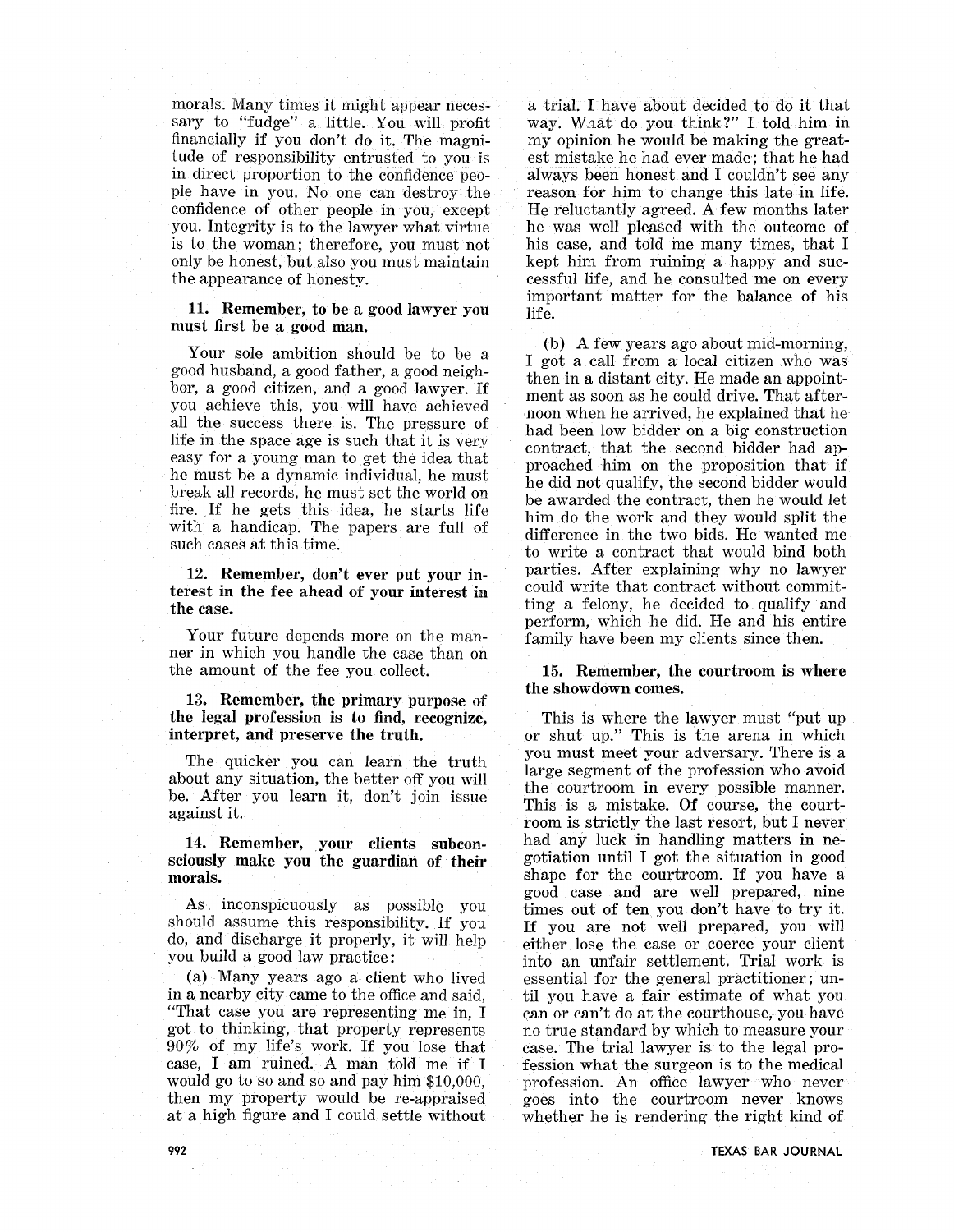morals. Many times it might appear necessary to "fudge" a little. You will profit financially if you don't do it. The magnitude of responsibility entrusted to you is in direct proportion to the confidence people have in you. No one can destroy the confidence of other people in you, except you. Integrity is to the lawyer what virtue is to the woman; therefore, you must not only be honest, but also you must maintain the appearance of honesty.

#### **11.** Remember, to be a good lawyer you must first be a good man.

Your sole ambition should be to be a good husband, a good father, a good neighbor, a good citizen, and a good lawyer. If you achieve this, you will have achieved all the success there is. The pressure of life in the space age is such that it is very easy for a young man to get the idea that he must be a dynamic individual, he must break all records, he must set the world on fire. If he gets this idea, he starts life with a handicap. The papers are full of such cases at this time.

12. Remember, don't ever **put your in**terest in the fee ahead of your interest in the case.

Your future depends more on the manner in which you handle the case than on the amount of the fee you collect.

**13.** Remember, the primary purpose of the legal profession is to find, recognize, interpret, and preserve the truth.

The quicker you can learn the truth about any situation, the better off you will be. After you learn it, don't join issue against it.

14. **Remember,** your clients subconsciously make you the guardian of their morals.

As inconspicuously as possible you should assume this responsibility. If you do, and discharge it properly, it will help you build a good law practice:

(a) Many years ago a client who lived in a nearby city came to the office and said, "That case you are representing me in, I got to thinking, that property represents 90% of my life's work. If you lose that case, I am ruined. A man told me if I would go to so and so and pay him \$10,000, then my property would be re-appraised at a high figure and I could settle without

a trial. I have about decided to do it that way. What do you think?" I told him in my opinion he would be making the greatest mistake he had ever made; that he had always been honest and I couldn't see any reason for him to change this late in life. He reluctantly agreed. A few months later he was well pleased with the outcome of his case, and told me many times, that I kept him from ruining a happy and successful life, and he consulted me on every important matter for the balance of his life.

(b) A few years ago about mid-morning, I got a call from a local citizen who was then in a distant city. He made an appointment as soon as he could drive. That afternoon when he arrived, he explained that he had been low bidder on a big construction contract, that the second bidder had approached him on the proposition that if he did not qualify, the second bidder would be awarded the contract, then he would let him do the work and they would split the difference in the two bids. He wanted me to write a contract that would bind both parties. After explaining why no lawyer could write that contract without committing a felony, he decided to qualify and perform, which he did. He and his entire family have been my clients since then.

#### **15. Remember, the courtroom is where** the showdown comes.

This is where the lawyer must "put up or shut up." This is the arena in which you must meet your adversary. There is a large segment of the profession who avoid the courtroom in every possible manner. This is a mistake. Of course, the courtroom is strictly the last resort, but I never had any luck in handling matters in negotiation until I got the situation in good shape for the courtroom. If you have a good case and are well prepared, nine times out of ten you don't have to try it. If you are not well prepared, you will either lose the case or coerce your client into an unfair settlement. Trial work is essential for the general practitioner; until you have a fair estimate of what you can or can't do at the courthouse, you have no true standard by which to measure your case. The trial lawyer is to the legal profession what the surgeon is to the medical profession. An office lawyer who never goes into the courtroom never knows whether he is rendering the right kind of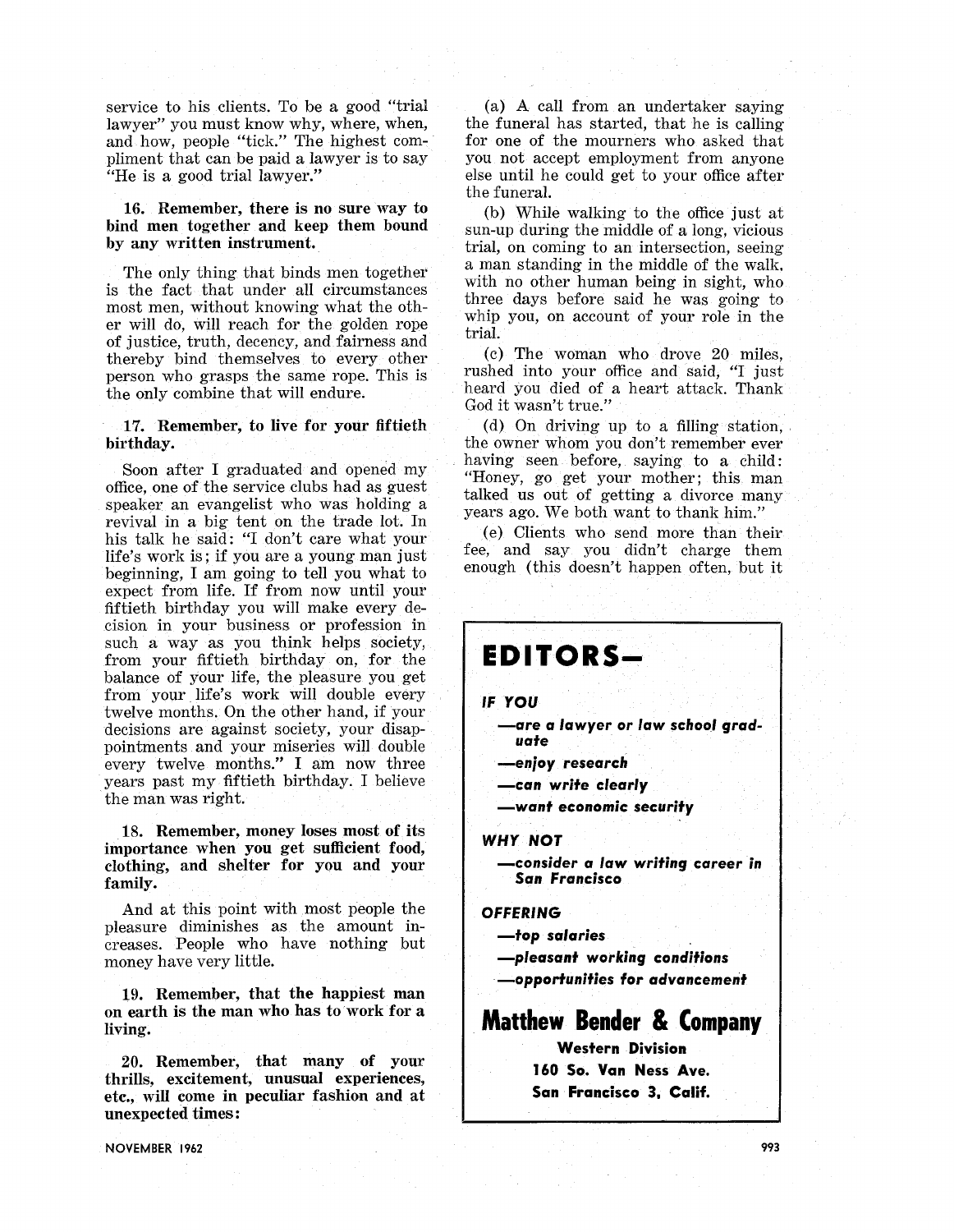service to his clients. To be a good "trial lawyer" you must know why, where, when, and how, people "tick." The highest compliment that can be paid a lawyer is to say "He is a good trial lawyer."

#### **16. Remember, there is no sure way to bind men together and keep them bound by any written instrument.**

The only thing that binds men together is the fact that under all circumstances most men, without knowing what the other will do, will reach for the golden rope of justice, truth, decency, and fairness and thereby bind themselves to every other person who grasps the same rope. This is the only combine that will endure.

#### **17. Remember, to live for your fiftieth birthday.**

Soon after **I** graduated and opened my office, one of the service clubs had as guest speaker an evangelist who was holding a revival in a big tent on the trade lot. In his talk he said: "I don't care what your life's work is; if you are a young man just beginning, I am going to tell you what to expect from life. If from now until your fiftieth birthday you will make every decision in your business or profession in such a way as you think helps society, from your fiftieth birthday on, for the balance of your life, the pleasure you get from your life's work will double every twelve months. On the other hand, if your decisions are against society, your disappointments and your miseries will double every twelve months." I am now three years past my fiftieth birthday. I believe the man was right.

#### **18. Remember, money loses most of its importance when you get sufficient food, clothing, and shelter for you and your family.**

And at this point with most people the pleasure diminishes as the amount increases. People who have nothing but money have very little.

**19. Remember, that the happiest man on earth is the man who has to work for** a **living.**

**20. Remember, that many of your thrills, excitement, unusual experiences, etc., will come in peculiar fashion and at unexpected times:**

NOVEMBER **1962**

(a) A call from an undertaker saying the funeral has started, that he is calling for one of the mourners who asked that you not accept employment from anyone else until he could get to your office after the funeral.

(b) While walking to the office just at sun-up during the middle of a long, vicious trial, on coming to an intersection, seeing a man standing in the middle of the walk, with no other human being in sight, who three days before said he was going to whip you, on account of your role in the trial.

(c) The woman who drove 20 miles, rushed into your office and said, "I just heard you died of a heart attack. Thank God it wasn't true."

(d) On driving up to a filling station, the owner whom you don't remember ever having seen before, saying to a child: "Honey, go get your mother; this man talked us out of getting a divorce many years ago. We both want to thank him."

(e) Clients who send more than their fee, and say you didn't charge them enough (this doesn't happen often, but it

## **EDITORS-**

#### **IF YOU**

**-are a lawyer or law school graduate**

- **-enjoy research**
- **-can write clearly**
- **-want economic security**

#### **WHY NOT**

**-consider a law writing career** *in* **San Francisco**

#### **OFFERING**

- **-top salaries**
- **-pleasant working conditions**
- **-opportunities for advancement**

### **Matthew Bender & Company**

**Western Division 160 So. Van Ness Ave. San Francisco 3, Calif.**